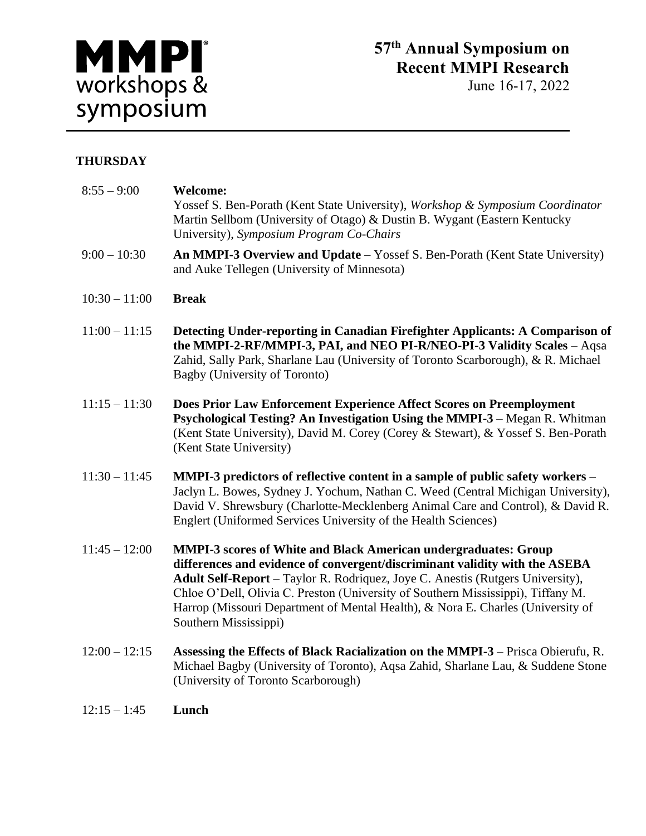

June 16-17, 2022

## **THURSDAY**

| $8:55 - 9:00$   | <b>Welcome:</b><br>Yossef S. Ben-Porath (Kent State University), Workshop & Symposium Coordinator<br>Martin Sellbom (University of Otago) & Dustin B. Wygant (Eastern Kentucky<br>University), Symposium Program Co-Chairs                                                                                                                                                                                                              |
|-----------------|-----------------------------------------------------------------------------------------------------------------------------------------------------------------------------------------------------------------------------------------------------------------------------------------------------------------------------------------------------------------------------------------------------------------------------------------|
| $9:00 - 10:30$  | An MMPI-3 Overview and Update - Yossef S. Ben-Porath (Kent State University)<br>and Auke Tellegen (University of Minnesota)                                                                                                                                                                                                                                                                                                             |
| $10:30 - 11:00$ | <b>Break</b>                                                                                                                                                                                                                                                                                                                                                                                                                            |
| $11:00 - 11:15$ | Detecting Under-reporting in Canadian Firefighter Applicants: A Comparison of<br>the MMPI-2-RF/MMPI-3, PAI, and NEO PI-R/NEO-PI-3 Validity Scales - Aqsa<br>Zahid, Sally Park, Sharlane Lau (University of Toronto Scarborough), & R. Michael<br>Bagby (University of Toronto)                                                                                                                                                          |
| $11:15 - 11:30$ | Does Prior Law Enforcement Experience Affect Scores on Preemployment<br>Psychological Testing? An Investigation Using the MMPI-3 - Megan R. Whitman<br>(Kent State University), David M. Corey (Corey & Stewart), & Yossef S. Ben-Porath<br>(Kent State University)                                                                                                                                                                     |
| $11:30 - 11:45$ | MMPI-3 predictors of reflective content in a sample of public safety workers –<br>Jaclyn L. Bowes, Sydney J. Yochum, Nathan C. Weed (Central Michigan University),<br>David V. Shrewsbury (Charlotte-Mecklenberg Animal Care and Control), & David R.<br>Englert (Uniformed Services University of the Health Sciences)                                                                                                                 |
| $11:45 - 12:00$ | <b>MMPI-3</b> scores of White and Black American undergraduates: Group<br>differences and evidence of convergent/discriminant validity with the ASEBA<br>Adult Self-Report - Taylor R. Rodriquez, Joye C. Anestis (Rutgers University),<br>Chloe O'Dell, Olivia C. Preston (University of Southern Mississippi), Tiffany M.<br>Harrop (Missouri Department of Mental Health), & Nora E. Charles (University of<br>Southern Mississippi) |
| $12:00 - 12:15$ | Assessing the Effects of Black Racialization on the MMPI-3 - Prisca Obierufu, R.<br>Michael Bagby (University of Toronto), Aqsa Zahid, Sharlane Lau, & Suddene Stone<br>(University of Toronto Scarborough)                                                                                                                                                                                                                             |
| $12:15 - 1:45$  | Lunch                                                                                                                                                                                                                                                                                                                                                                                                                                   |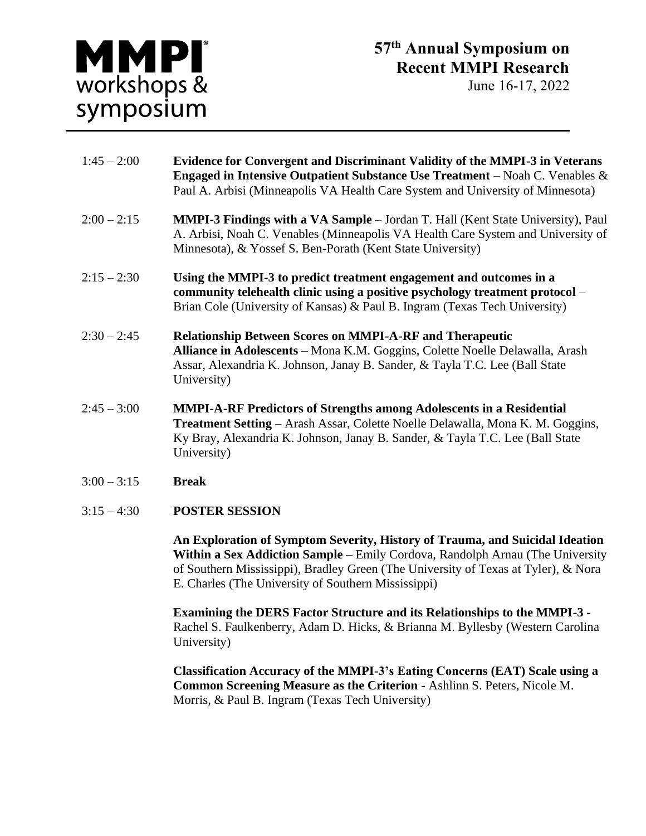

June 16-17, 2022

| $1:45 - 2:00$ | <b>Evidence for Convergent and Discriminant Validity of the MMPI-3 in Veterans</b><br><b>Engaged in Intensive Outpatient Substance Use Treatment</b> – Noah C. Venables $\&$<br>Paul A. Arbisi (Minneapolis VA Health Care System and University of Minnesota)       |
|---------------|----------------------------------------------------------------------------------------------------------------------------------------------------------------------------------------------------------------------------------------------------------------------|
| $2:00 - 2:15$ | <b>MMPI-3 Findings with a VA Sample</b> – Jordan T. Hall (Kent State University), Paul<br>A. Arbisi, Noah C. Venables (Minneapolis VA Health Care System and University of<br>Minnesota), & Yossef S. Ben-Porath (Kent State University)                             |
| $2:15 - 2:30$ | Using the MMPI-3 to predict treatment engagement and outcomes in a<br>community telehealth clinic using a positive psychology treatment protocol –<br>Brian Cole (University of Kansas) & Paul B. Ingram (Texas Tech University)                                     |
| $2:30 - 2:45$ | <b>Relationship Between Scores on MMPI-A-RF and Therapeutic</b><br>Alliance in Adolescents - Mona K.M. Goggins, Colette Noelle Delawalla, Arash<br>Assar, Alexandria K. Johnson, Janay B. Sander, & Tayla T.C. Lee (Ball State<br>University)                        |
| $2:45 - 3:00$ | <b>MMPI-A-RF Predictors of Strengths among Adolescents in a Residential</b><br><b>Treatment Setting</b> – Arash Assar, Colette Noelle Delawalla, Mona K. M. Goggins,<br>Ky Bray, Alexandria K. Johnson, Janay B. Sander, & Tayla T.C. Lee (Ball State<br>University) |
| $3:00 - 3:15$ | <b>Break</b>                                                                                                                                                                                                                                                         |

3:15 – 4:30 **POSTER SESSION**

**An Exploration of Symptom Severity, History of Trauma, and Suicidal Ideation Within a Sex Addiction Sample** – Emily Cordova, Randolph Arnau (The University of Southern Mississippi), Bradley Green (The University of Texas at Tyler), & Nora E. Charles (The University of Southern Mississippi)

**Examining the DERS Factor Structure and its Relationships to the MMPI-3 -** Rachel S. Faulkenberry, Adam D. Hicks, & Brianna M. Byllesby (Western Carolina University)

**Classification Accuracy of the MMPI-3's Eating Concerns (EAT) Scale using a Common Screening Measure as the Criterion** - Ashlinn S. Peters, Nicole M. Morris, & Paul B. Ingram (Texas Tech University)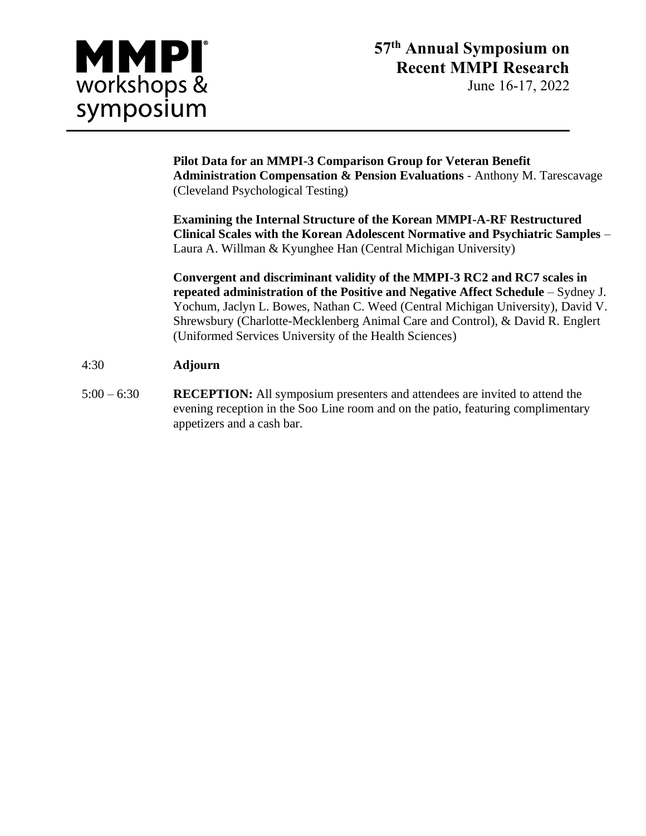

June 16-17, 2022

**Pilot Data for an MMPI-3 Comparison Group for Veteran Benefit Administration Compensation & Pension Evaluations** - Anthony M. Tarescavage (Cleveland Psychological Testing)

**Examining the Internal Structure of the Korean MMPI-A-RF Restructured Clinical Scales with the Korean Adolescent Normative and Psychiatric Samples** – Laura A. Willman & Kyunghee Han (Central Michigan University)

**Convergent and discriminant validity of the MMPI-3 RC2 and RC7 scales in repeated administration of the Positive and Negative Affect Schedule** – Sydney J. Yochum, Jaclyn L. Bowes, Nathan C. Weed (Central Michigan University), David V. Shrewsbury (Charlotte-Mecklenberg Animal Care and Control), & David R. Englert (Uniformed Services University of the Health Sciences)

## 4:30 **Adjourn**

 $5:00 - 6:30$ **RECEPTION:** All symposium presenters and attendees are invited to attend the evening reception in the Soo Line room and on the patio, featuring complimentary appetizers and a cash bar.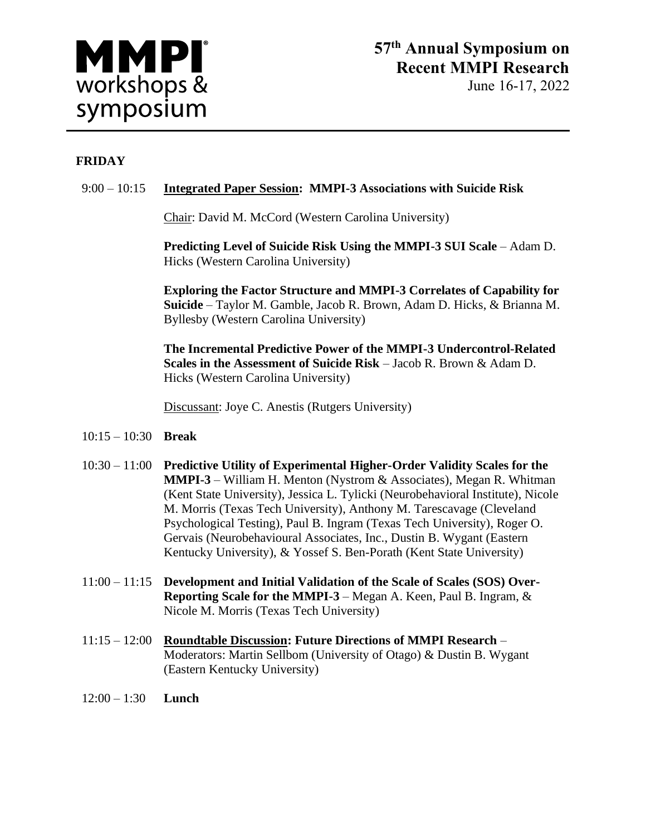

## **FRIDAY**

## 9:00 – 10:15 **Integrated Paper Session: MMPI-3 Associations with Suicide Risk**

Chair: David M. McCord (Western Carolina University)

**Predicting Level of Suicide Risk Using the MMPI-3 SUI Scale** – Adam D. Hicks (Western Carolina University)

**Exploring the Factor Structure and MMPI-3 Correlates of Capability for Suicide** – Taylor M. Gamble, Jacob R. Brown, Adam D. Hicks, & Brianna M. Byllesby (Western Carolina University)

**The Incremental Predictive Power of the MMPI-3 Undercontrol-Related Scales in the Assessment of Suicide Risk** – Jacob R. Brown & Adam D. Hicks (Western Carolina University)

Discussant: Joye C. Anestis (Rutgers University)

- 10:15 10:30 **Break**
- 10:30 11:00 **Predictive Utility of Experimental Higher-Order Validity Scales for the MMPI-3** – William H. Menton (Nystrom & Associates), Megan R. Whitman (Kent State University), Jessica L. Tylicki (Neurobehavioral Institute), Nicole M. Morris (Texas Tech University), Anthony M. Tarescavage (Cleveland Psychological Testing), Paul B. Ingram (Texas Tech University), Roger O. Gervais (Neurobehavioural Associates, Inc., Dustin B. Wygant (Eastern Kentucky University), & Yossef S. Ben-Porath (Kent State University)
- 11:00 11:15 **Development and Initial Validation of the Scale of Scales (SOS) Over-Reporting Scale for the MMPI-3** – Megan A. Keen, Paul B. Ingram, & Nicole M. Morris (Texas Tech University)
- 11:15 12:00 **Roundtable Discussion: Future Directions of MMPI Research** Moderators: Martin Sellbom (University of Otago) & Dustin B. Wygant (Eastern Kentucky University)
- 12:00 1:30 **Lunch**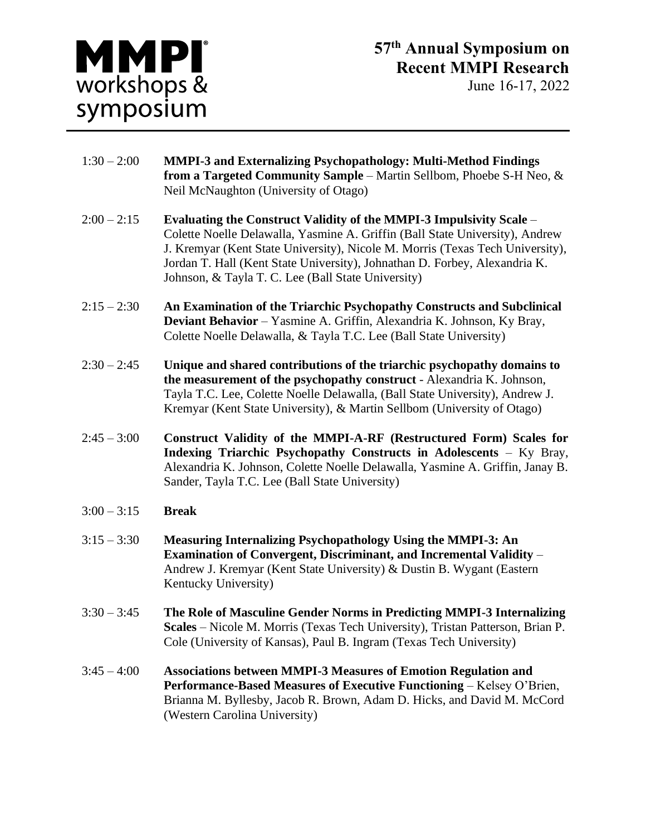

- 1:30 2:00 **MMPI-3 and Externalizing Psychopathology: Multi-Method Findings from a Targeted Community Sample** – Martin Sellbom, Phoebe S-H Neo, & Neil McNaughton (University of Otago)
- 2:00 2:15 **Evaluating the Construct Validity of the MMPI-3 Impulsivity Scale** Colette Noelle Delawalla, Yasmine A. Griffin (Ball State University), Andrew J. Kremyar (Kent State University), Nicole M. Morris (Texas Tech University), Jordan T. Hall (Kent State University), Johnathan D. Forbey, Alexandria K. Johnson, & Tayla T. C. Lee (Ball State University)
- 2:15 2:30 **An Examination of the Triarchic Psychopathy Constructs and Subclinical Deviant Behavior** – Yasmine A. Griffin, Alexandria K. Johnson, Ky Bray, Colette Noelle Delawalla, & Tayla T.C. Lee (Ball State University)
- 2:30 2:45 **Unique and shared contributions of the triarchic psychopathy domains to the measurement of the psychopathy construct** - Alexandria K. Johnson, Tayla T.C. Lee, Colette Noelle Delawalla, (Ball State University), Andrew J. Kremyar (Kent State University), & Martin Sellbom (University of Otago)
- 2:45 3:00 **Construct Validity of the MMPI-A-RF (Restructured Form) Scales for Indexing Triarchic Psychopathy Constructs in Adolescents** – Ky Bray, Alexandria K. Johnson, Colette Noelle Delawalla, Yasmine A. Griffin, Janay B. Sander, Tayla T.C. Lee (Ball State University)
- 3:00 3:15 **Break**
- 3:15 3:30 **Measuring Internalizing Psychopathology Using the MMPI-3: An Examination of Convergent, Discriminant, and Incremental Validity** – Andrew J. Kremyar (Kent State University) & Dustin B. Wygant (Eastern Kentucky University)
- 3:30 3:45 **The Role of Masculine Gender Norms in Predicting MMPI-3 Internalizing Scales** – Nicole M. Morris (Texas Tech University), Tristan Patterson, Brian P. Cole (University of Kansas), Paul B. Ingram (Texas Tech University)
- 3:45 4:00 **Associations between MMPI-3 Measures of Emotion Regulation and Performance-Based Measures of Executive Functioning** – Kelsey O'Brien, Brianna M. Byllesby, Jacob R. Brown, Adam D. Hicks, and David M. McCord (Western Carolina University)